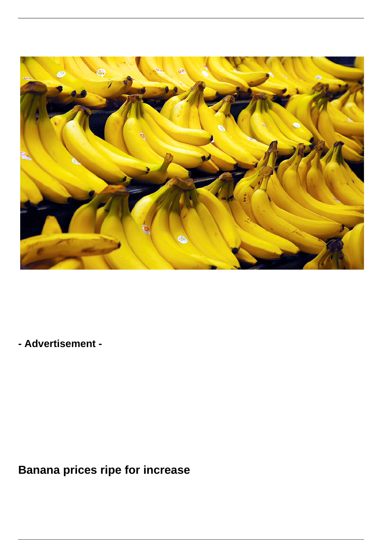

**- Advertisement -**

**Banana prices ripe for increase**